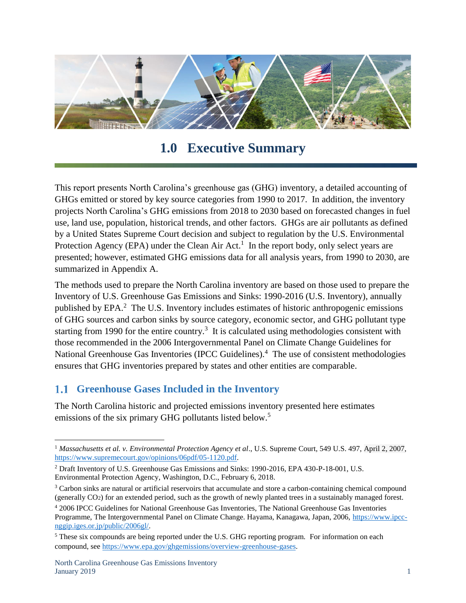

# **1.0 Executive Summary**

This report presents North Carolina's greenhouse gas (GHG) inventory, a detailed accounting of GHGs emitted or stored by key source categories from 1990 to 2017. In addition, the inventory projects North Carolina's GHG emissions from 2018 to 2030 based on forecasted changes in fuel use, land use, population, historical trends, and other factors. GHGs are air pollutants as defined by a United States Supreme Court decision and subject to regulation by the U.S. Environmental Protection Agency (EPA) under the Clean Air Act.<sup>1</sup> In the report body, only select years are presented; however, estimated GHG emissions data for all analysis years, from 1990 to 2030, are summarized in Appendix A.

The methods used to prepare the North Carolina inventory are based on those used to prepare the Inventory of U.S. Greenhouse Gas Emissions and Sinks: 1990-2016 (U.S. Inventory), annually published by EPA.<sup>2</sup> The U.S. Inventory includes estimates of historic anthropogenic emissions of GHG sources and carbon sinks by source category, economic sector, and GHG pollutant type starting from 1990 for the entire country.<sup>3</sup> It is calculated using methodologies consistent with those recommended in the 2006 Intergovernmental Panel on Climate Change Guidelines for National Greenhouse Gas Inventories (IPCC Guidelines).<sup>4</sup> The use of consistent methodologies ensures that GHG inventories prepared by states and other entities are comparable.

### **Greenhouse Gases Included in the Inventory**

The North Carolina historic and projected emissions inventory presented here estimates emissions of the six primary GHG pollutants listed below.<sup>5</sup>

 $\overline{a}$ 

<sup>1</sup> *Massachusetts et al. v. Environmental Protection Agency et al*., U.S. Supreme Court, 549 U.S. 497, April 2, 2007, [https://www.supremecourt.gov/opinions/06pdf/05-1120.pdf.](https://www.supremecourt.gov/opinions/06pdf/05-1120.pdf)

<sup>2</sup> Draft Inventory of U.S. Greenhouse Gas Emissions and Sinks: 1990-2016, EPA 430-P-18-001, U.S. Environmental Protection Agency, Washington, D.C., February 6, 2018.

<sup>&</sup>lt;sup>3</sup> Carbon sinks are natural or artificial reservoirs that accumulate and store a carbon-containing chemical compound (generally CO2) for an extended period, such as the growth of newly planted trees in a sustainably managed forest.

<sup>4</sup> 2006 IPCC Guidelines for National Greenhouse Gas Inventories, The National Greenhouse Gas Inventories Programme, The Intergovernmental Panel on Climate Change. Hayama, Kanagawa, Japan, 2006, [https://www.ipcc](https://www.ipcc-nggip.iges.or.jp/public/2006gl/)[nggip.iges.or.jp/public/2006gl/.](https://www.ipcc-nggip.iges.or.jp/public/2006gl/)

<sup>&</sup>lt;sup>5</sup> These six compounds are being reported under the U.S. GHG reporting program. For information on each compound, see [https://www.epa.gov/ghgemissions/overview-greenhouse-gases.](https://www.epa.gov/ghgemissions/overview-greenhouse-gases)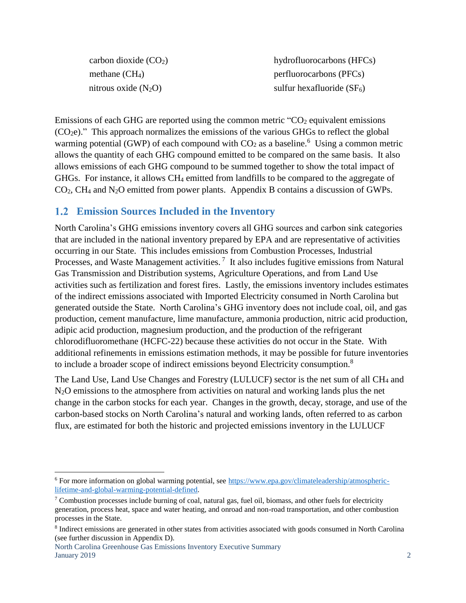$carbon dioxide (CO<sub>2</sub>)$  hydrofluorocarbons (HFCs) methane (CH<sub>4</sub>) perfluorocarbons (PFCs) nitrous oxide  $(N_2O)$  sulfur hexafluoride  $(SF_6)$ 

Emissions of each GHG are reported using the common metric " $CO<sub>2</sub>$  equivalent emissions  $(CO<sub>2</sub>e)$ ." This approach normalizes the emissions of the various GHGs to reflect the global warming potential (GWP) of each compound with  $CO<sub>2</sub>$  as a baseline.<sup>6</sup> Using a common metric allows the quantity of each GHG compound emitted to be compared on the same basis. It also allows emissions of each GHG compound to be summed together to show the total impact of GHGs. For instance, it allows CH<sup>4</sup> emitted from landfills to be compared to the aggregate of CO2, CH<sup>4</sup> and N2O emitted from power plants. Appendix B contains a discussion of GWPs.

### **Emission Sources Included in the Inventory**

North Carolina's GHG emissions inventory covers all GHG sources and carbon sink categories that are included in the national inventory prepared by EPA and are representative of activities occurring in our State. This includes emissions from Combustion Processes, Industrial Processes, and Waste Management activities.<sup>7</sup> It also includes fugitive emissions from Natural Gas Transmission and Distribution systems, Agriculture Operations, and from Land Use activities such as fertilization and forest fires. Lastly, the emissions inventory includes estimates of the indirect emissions associated with Imported Electricity consumed in North Carolina but generated outside the State. North Carolina's GHG inventory does not include coal, oil, and gas production, cement manufacture, lime manufacture, ammonia production, nitric acid production, adipic acid production, magnesium production, and the production of the refrigerant chlorodifluoromethane (HCFC-22) because these activities do not occur in the State. With additional refinements in emissions estimation methods, it may be possible for future inventories to include a broader scope of indirect emissions beyond Electricity consumption.<sup>8</sup>

The Land Use, Land Use Changes and Forestry (LULUCF) sector is the net sum of all CH<sup>4</sup> and N2O emissions to the atmosphere from activities on natural and working lands plus the net change in the carbon stocks for each year. Changes in the growth, decay, storage, and use of the carbon-based stocks on North Carolina's natural and working lands, often referred to as carbon flux, are estimated for both the historic and projected emissions inventory in the LULUCF

North Carolina Greenhouse Gas Emissions Inventory Executive Summary January 2019 2

 $\overline{a}$ 

<sup>&</sup>lt;sup>6</sup> For more information on global warming potential, see [https://www.epa.gov/climateleadership/atmospheric](https://www.epa.gov/climateleadership/atmospheric-lifetime-and-global-warming-potential-defined)[lifetime-and-global-warming-potential-defined.](https://www.epa.gov/climateleadership/atmospheric-lifetime-and-global-warming-potential-defined)

<sup>&</sup>lt;sup>7</sup> Combustion processes include burning of coal, natural gas, fuel oil, biomass, and other fuels for electricity generation, process heat, space and water heating, and onroad and non-road transportation, and other combustion processes in the State.

<sup>&</sup>lt;sup>8</sup> Indirect emissions are generated in other states from activities associated with goods consumed in North Carolina (see further discussion in Appendix D).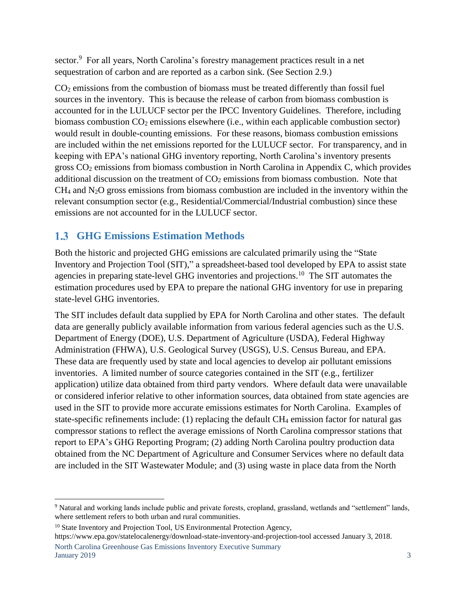sector.<sup>9</sup> For all years, North Carolina's forestry management practices result in a net sequestration of carbon and are reported as a carbon sink. (See Section 2.9.)

CO<sup>2</sup> emissions from the combustion of biomass must be treated differently than fossil fuel sources in the inventory. This is because the release of carbon from biomass combustion is accounted for in the LULUCF sector per the IPCC Inventory Guidelines. Therefore, including biomass combustion  $CO<sub>2</sub>$  emissions elsewhere (i.e., within each applicable combustion sector) would result in double-counting emissions. For these reasons, biomass combustion emissions are included within the net emissions reported for the LULUCF sector. For transparency, and in keeping with EPA's national GHG inventory reporting, North Carolina's inventory presents gross CO<sup>2</sup> emissions from biomass combustion in North Carolina in Appendix C, which provides additional discussion on the treatment of  $CO<sub>2</sub>$  emissions from biomass combustion. Note that  $CH<sub>4</sub>$  and N<sub>2</sub>O gross emissions from biomass combustion are included in the inventory within the relevant consumption sector (e.g., Residential/Commercial/Industrial combustion) since these emissions are not accounted for in the LULUCF sector.

## **GHG Emissions Estimation Methods**

 $\overline{a}$ 

Both the historic and projected GHG emissions are calculated primarily using the "State Inventory and Projection Tool (SIT)," a spreadsheet-based tool developed by EPA to assist state agencies in preparing state-level GHG inventories and projections.<sup>10</sup> The SIT automates the estimation procedures used by EPA to prepare the national GHG inventory for use in preparing state-level GHG inventories.

The SIT includes default data supplied by EPA for North Carolina and other states. The default data are generally publicly available information from various federal agencies such as the U.S. Department of Energy (DOE), U.S. Department of Agriculture (USDA), Federal Highway Administration (FHWA), U.S. Geological Survey (USGS), U.S. Census Bureau, and EPA. These data are frequently used by state and local agencies to develop air pollutant emissions inventories. A limited number of source categories contained in the SIT (e.g., fertilizer application) utilize data obtained from third party vendors. Where default data were unavailable or considered inferior relative to other information sources, data obtained from state agencies are used in the SIT to provide more accurate emissions estimates for North Carolina. Examples of state-specific refinements include: (1) replacing the default CH<sup>4</sup> emission factor for natural gas compressor stations to reflect the average emissions of North Carolina compressor stations that report to EPA's GHG Reporting Program; (2) adding North Carolina poultry production data obtained from the NC Department of Agriculture and Consumer Services where no default data are included in the SIT Wastewater Module; and (3) using waste in place data from the North

<sup>9</sup> Natural and working lands include public and private forests, cropland, grassland, wetlands and "settlement" lands, where settlement refers to both urban and rural communities.

North Carolina Greenhouse Gas Emissions Inventory Executive Summary January 2019 3 <sup>10</sup> State Inventory and Projection Tool, US Environmental Protection Agency, https://www.epa.gov/statelocalenergy/download-state-inventory-and-projection-tool accessed January 3, 2018.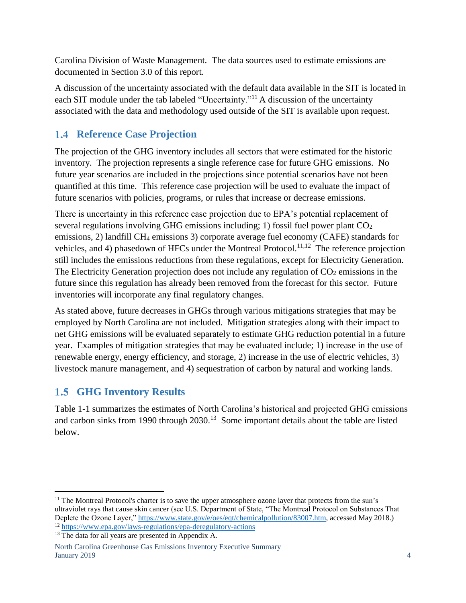Carolina Division of Waste Management. The data sources used to estimate emissions are documented in Section 3.0 of this report.

A discussion of the uncertainty associated with the default data available in the SIT is located in each SIT module under the tab labeled "Uncertainty."<sup>11</sup> A discussion of the uncertainty associated with the data and methodology used outside of the SIT is available upon request.

# **1.4 Reference Case Projection**

The projection of the GHG inventory includes all sectors that were estimated for the historic inventory. The projection represents a single reference case for future GHG emissions. No future year scenarios are included in the projections since potential scenarios have not been quantified at this time. This reference case projection will be used to evaluate the impact of future scenarios with policies, programs, or rules that increase or decrease emissions.

There is uncertainty in this reference case projection due to EPA's potential replacement of several regulations involving GHG emissions including; 1) fossil fuel power plant  $CO<sub>2</sub>$ emissions, 2) landfill CH<sub>4</sub> emissions 3) corporate average fuel economy (CAFE) standards for vehicles, and 4) phasedown of HFCs under the Montreal Protocol.<sup>11,12</sup> The reference projection still includes the emissions reductions from these regulations, except for Electricity Generation. The Electricity Generation projection does not include any regulation of  $CO<sub>2</sub>$  emissions in the future since this regulation has already been removed from the forecast for this sector. Future inventories will incorporate any final regulatory changes.

As stated above, future decreases in GHGs through various mitigations strategies that may be employed by North Carolina are not included. Mitigation strategies along with their impact to net GHG emissions will be evaluated separately to estimate GHG reduction potential in a future year. Examples of mitigation strategies that may be evaluated include; 1) increase in the use of renewable energy, energy efficiency, and storage, 2) increase in the use of electric vehicles, 3) livestock manure management, and 4) sequestration of carbon by natural and working lands.

# **GHG Inventory Results**

Table 1-1 summarizes the estimates of North Carolina's historical and projected GHG emissions and carbon sinks from 1990 through 2030.<sup>13</sup> Some important details about the table are listed below.

 $\overline{a}$ <sup>11</sup> The Montreal Protocol's charter is to save the upper atmosphere ozone layer that protects from the sun's ultraviolet rays that cause skin cancer (see U.S. Department of State, "The Montreal Protocol on Substances That Deplete the Ozone Layer,[" https://www.state.gov/e/oes/eqt/chemicalpollution/83007.htm,](https://www.state.gov/e/oes/eqt/chemicalpollution/83007.htm) accessed May 2018.) <sup>12</sup> <https://www.epa.gov/laws-regulations/epa-deregulatory-actions>

<sup>&</sup>lt;sup>13</sup> The data for all years are presented in Appendix A.

North Carolina Greenhouse Gas Emissions Inventory Executive Summary January 2019 4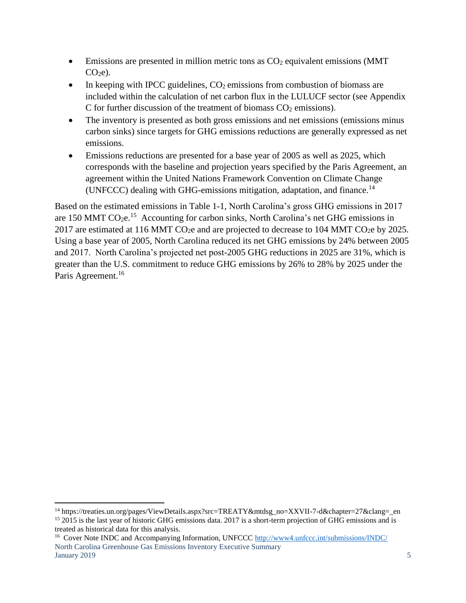- Emissions are presented in million metric tons as  $CO<sub>2</sub>$  equivalent emissions (MMT)  $CO<sub>2</sub>e$ ).
- In keeping with IPCC guidelines,  $CO<sub>2</sub>$  emissions from combustion of biomass are included within the calculation of net carbon flux in the LULUCF sector (see Appendix C for further discussion of the treatment of biomass  $CO<sub>2</sub>$  emissions).
- The inventory is presented as both gross emissions and net emissions (emissions minus) carbon sinks) since targets for GHG emissions reductions are generally expressed as net emissions.
- Emissions reductions are presented for a base year of 2005 as well as 2025, which corresponds with the baseline and projection years specified by the Paris Agreement, an agreement within the United Nations Framework Convention on Climate Change (UNFCCC) dealing with GHG-emissions mitigation, adaptation, and finance.<sup>14</sup>

Based on the estimated emissions in Table 1-1, North Carolina's gross GHG emissions in 2017 are 150 MMT  $CO_2e$ .<sup>15</sup> Accounting for carbon sinks, North Carolina's net GHG emissions in 2017 are estimated at 116 MMT CO<sub>2</sub>e and are projected to decrease to 104 MMT CO<sub>2</sub>e by 2025. Using a base year of 2005, North Carolina reduced its net GHG emissions by 24% between 2005 and 2017. North Carolina's projected net post-2005 GHG reductions in 2025 are 31%, which is greater than the U.S. commitment to reduce GHG emissions by 26% to 28% by 2025 under the Paris Agreement.<sup>16</sup>

North Carolina Greenhouse Gas Emissions Inventory Executive Summary January 2019 5 <sup>16</sup> Cover Note INDC and Accompanying Information, UNFCCC [http://www4.unfccc.int/submissions/INDC/](http://www4.unfccc.int/submissions/INDC/_layouts/mobile/dispform.aspx?List=4a67b500-675c-4a0e-be83-649364ee36bb&View=428ea47e-35b4-4eb0-bd45-71f71031d074&RootFolder=%2Fsubmissions%2FINDC%2FPublished%20Documents%2FUnited%20States%20of%20America%2F1&ID=386)

 $\overline{a}$ 

<sup>&</sup>lt;sup>14</sup> https://treaties.un.org/pages/ViewDetails.aspx?src=TREATY&mtdsg\_no=XXVII-7-d&chapter=27&clang=\_en <sup>15</sup> 2015 is the last year of historic GHG emissions data. 2017 is a short-term projection of GHG emissions and is treated as historical data for this analysis.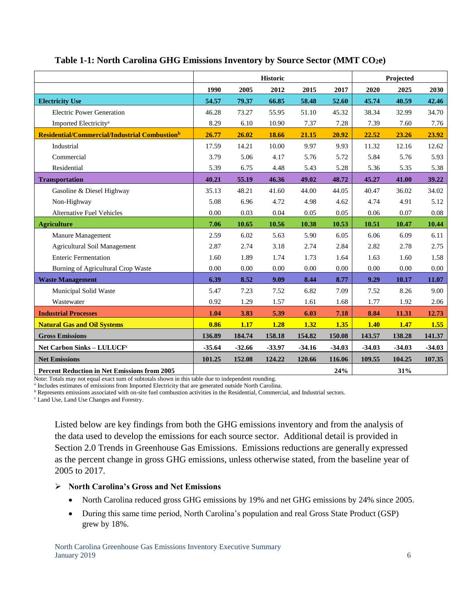|                                                           | <b>Historic</b> |          |          |          |          | Projected |          |          |
|-----------------------------------------------------------|-----------------|----------|----------|----------|----------|-----------|----------|----------|
|                                                           | 1990            | 2005     | 2012     | 2015     | 2017     | 2020      | 2025     | 2030     |
| <b>Electricity Use</b>                                    | 54.57           | 79.37    | 66.85    | 58.48    | 52.60    | 45.74     | 40.59    | 42.46    |
| <b>Electric Power Generation</b>                          | 46.28           | 73.27    | 55.95    | 51.10    | 45.32    | 38.34     | 32.99    | 34.70    |
| Imported Electricity <sup>a</sup>                         | 8.29            | 6.10     | 10.90    | 7.37     | 7.28     | 7.39      | 7.60     | 7.76     |
| Residential/Commercial/Industrial Combustion <sup>b</sup> | 26.77           | 26.02    | 18.66    | 21.15    | 20.92    | 22.52     | 23.26    | 23.92    |
| Industrial                                                | 17.59           | 14.21    | 10.00    | 9.97     | 9.93     | 11.32     | 12.16    | 12.62    |
| Commercial                                                | 3.79            | 5.06     | 4.17     | 5.76     | 5.72     | 5.84      | 5.76     | 5.93     |
| Residential                                               | 5.39            | 6.75     | 4.48     | 5.43     | 5.28     | 5.36      | 5.35     | 5.38     |
| <b>Transportation</b>                                     | 40.21           | 55.19    | 46.36    | 49.02    | 48.72    | 45.27     | 41.00    | 39.22    |
| Gasoline & Diesel Highway                                 | 35.13           | 48.21    | 41.60    | 44.00    | 44.05    | 40.47     | 36.02    | 34.02    |
| Non-Highway                                               | 5.08            | 6.96     | 4.72     | 4.98     | 4.62     | 4.74      | 4.91     | 5.12     |
| <b>Alternative Fuel Vehicles</b>                          | 0.00            | 0.03     | 0.04     | 0.05     | 0.05     | 0.06      | 0.07     | 0.08     |
| <b>Agriculture</b>                                        | 7.06            | 10.65    | 10.56    | 10.38    | 10.53    | 10.51     | 10.47    | 10.44    |
| Manure Management                                         | 2.59            | 6.02     | 5.63     | 5.90     | 6.05     | 6.06      | 6.09     | 6.11     |
| <b>Agricultural Soil Management</b>                       | 2.87            | 2.74     | 3.18     | 2.74     | 2.84     | 2.82      | 2.78     | 2.75     |
| <b>Enteric Fermentation</b>                               | 1.60            | 1.89     | 1.74     | 1.73     | 1.64     | 1.63      | 1.60     | 1.58     |
| Burning of Agricultural Crop Waste                        | 0.00            | 0.00     | 0.00     | 0.00     | 0.00     | 0.00      | 0.00     | 0.00     |
| <b>Waste Management</b>                                   | 6.39            | 8.52     | 9.09     | 8.44     | 8.77     | 9.29      | 10.17    | 11.07    |
| Municipal Solid Waste                                     | 5.47            | 7.23     | 7.52     | 6.82     | 7.09     | 7.52      | 8.26     | 9.00     |
| Wastewater                                                | 0.92            | 1.29     | 1.57     | 1.61     | 1.68     | 1.77      | 1.92     | 2.06     |
| <b>Industrial Processes</b>                               | 1.04            | 3.83     | 5.39     | 6.03     | 7.18     | 8.84      | 11.31    | 12.73    |
| <b>Natural Gas and Oil Systems</b>                        | 0.86            | 1.17     | 1.28     | 1.32     | 1.35     | 1.40      | 1.47     | 1.55     |
| <b>Gross Emissions</b>                                    | 136.89          | 184.74   | 158.18   | 154.82   | 150.08   | 143.57    | 138.28   | 141.37   |
| Net Carbon Sinks - LULUCF <sup>c</sup>                    | $-35.64$        | $-32.66$ | $-33.97$ | $-34.16$ | $-34.03$ | $-34.03$  | $-34.03$ | $-34.03$ |
| <b>Net Emissions</b>                                      | 101.25          | 152.08   | 124.22   | 120.66   | 116.06   | 109.55    | 104.25   | 107.35   |
| <b>Percent Reduction in Net Emissions from 2005</b>       |                 |          |          |          | 24%      |           | 31%      |          |

#### **Table 1-1: North Carolina GHG Emissions Inventory by Source Sector (MMT CO2e)**

Note: Totals may not equal exact sum of subtotals shown in this table due to independent rounding.

a Includes estimates of emissions from Imported Electricity that are generated outside North Carolina.

<sup>b</sup> Represents emissions associated with on-site fuel combustion activities in the Residential, Commercial, and Industrial sectors.

<sup>c</sup> Land Use, Land Use Changes and Forestry.

Listed below are key findings from both the GHG emissions inventory and from the analysis of the data used to develop the emissions for each source sector. Additional detail is provided in Section 2.0 Trends in Greenhouse Gas Emissions. Emissions reductions are generally expressed as the percent change in gross GHG emissions, unless otherwise stated, from the baseline year of 2005 to 2017.

#### ➢ **North Carolina's Gross and Net Emissions**

- North Carolina reduced gross GHG emissions by 19% and net GHG emissions by 24% since 2005.
- During this same time period, North Carolina's population and real Gross State Product (GSP) grew by 18%.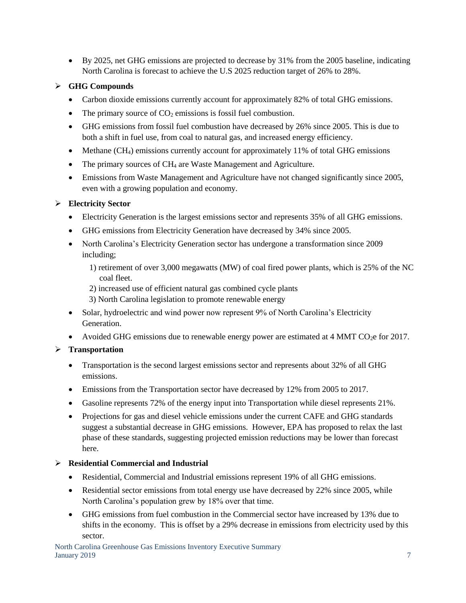• By 2025, net GHG emissions are projected to decrease by 31% from the 2005 baseline, indicating North Carolina is forecast to achieve the U.S 2025 reduction target of 26% to 28%.

#### ➢ **GHG Compounds**

- Carbon dioxide emissions currently account for approximately 82% of total GHG emissions.
- The primary source of  $CO<sub>2</sub>$  emissions is fossil fuel combustion.
- GHG emissions from fossil fuel combustion have decreased by 26% since 2005. This is due to both a shift in fuel use, from coal to natural gas, and increased energy efficiency.
- Methane (CH<sub>4</sub>) emissions currently account for approximately 11% of total GHG emissions
- The primary sources of CH<sub>4</sub> are Waste Management and Agriculture.
- Emissions from Waste Management and Agriculture have not changed significantly since 2005, even with a growing population and economy.

#### ➢ **Electricity Sector**

- Electricity Generation is the largest emissions sector and represents 35% of all GHG emissions.
- GHG emissions from Electricity Generation have decreased by 34% since 2005.
- North Carolina's Electricity Generation sector has undergone a transformation since 2009 including;
	- 1) retirement of over 3,000 megawatts (MW) of coal fired power plants, which is 25% of the NC coal fleet.
	- 2) increased use of efficient natural gas combined cycle plants
	- 3) North Carolina legislation to promote renewable energy
- Solar, hydroelectric and wind power now represent 9% of North Carolina's Electricity Generation.
- Avoided GHG emissions due to renewable energy power are estimated at 4 MMT CO $_2$ e for 2017.

#### ➢ **Transportation**

- Transportation is the second largest emissions sector and represents about 32% of all GHG emissions.
- Emissions from the Transportation sector have decreased by 12% from 2005 to 2017.
- Gasoline represents 72% of the energy input into Transportation while diesel represents 21%.
- Projections for gas and diesel vehicle emissions under the current CAFE and GHG standards suggest a substantial decrease in GHG emissions. However, EPA has proposed to relax the last phase of these standards, suggesting projected emission reductions may be lower than forecast here.

#### ➢ **Residential Commercial and Industrial**

- Residential, Commercial and Industrial emissions represent 19% of all GHG emissions.
- Residential sector emissions from total energy use have decreased by 22% since 2005, while North Carolina's population grew by 18% over that time.
- GHG emissions from fuel combustion in the Commercial sector have increased by 13% due to shifts in the economy. This is offset by a 29% decrease in emissions from electricity used by this sector.